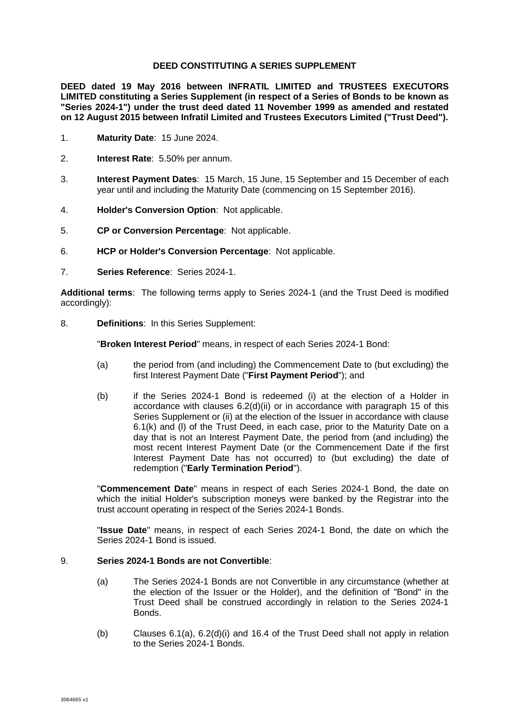### **DEED CONSTITUTING A SERIES SUPPLEMENT**

**DEED dated 19 May 2016 between INFRATIL LIMITED and TRUSTEES EXECUTORS LIMITED constituting a Series Supplement (in respect of a Series of Bonds to be known as "Series 2024-1") under the trust deed dated 11 November 1999 as amended and restated on 12 August 2015 between Infratil Limited and Trustees Executors Limited ("Trust Deed").** 

- 1. **Maturity Date**: 15 June 2024.
- 2. **Interest Rate**: 5.50% per annum.
- 3. **Interest Payment Dates**: 15 March, 15 June, 15 September and 15 December of each year until and including the Maturity Date (commencing on 15 September 2016).
- 4. **Holder's Conversion Option**: Not applicable.
- 5. **CP or Conversion Percentage**: Not applicable.
- 6. **HCP or Holder's Conversion Percentage**: Not applicable.
- 7. **Series Reference**: Series 2024-1.

**Additional terms**: The following terms apply to Series 2024-1 (and the Trust Deed is modified accordingly):

8. **Definitions**: In this Series Supplement:

"**Broken Interest Period**" means, in respect of each Series 2024-1 Bond:

- (a) the period from (and including) the Commencement Date to (but excluding) the first Interest Payment Date ("**First Payment Period**"); and
- (b) if the Series 2024-1 Bond is redeemed (i) at the election of a Holder in accordance with clauses 6.2(d)(ii) or in accordance with paragraph 15 of this Series Supplement or (ii) at the election of the Issuer in accordance with clause 6.1(k) and (l) of the Trust Deed, in each case, prior to the Maturity Date on a day that is not an Interest Payment Date, the period from (and including) the most recent Interest Payment Date (or the Commencement Date if the first Interest Payment Date has not occurred) to (but excluding) the date of redemption ("**Early Termination Period**").

"**Commencement Date**" means in respect of each Series 2024-1 Bond, the date on which the initial Holder's subscription moneys were banked by the Registrar into the trust account operating in respect of the Series 2024-1 Bonds.

"**Issue Date**" means, in respect of each Series 2024-1 Bond, the date on which the Series 2024-1 Bond is issued.

## 9. **Series 2024-1 Bonds are not Convertible**:

- (a) The Series 2024-1 Bonds are not Convertible in any circumstance (whether at the election of the Issuer or the Holder), and the definition of "Bond" in the Trust Deed shall be construed accordingly in relation to the Series 2024-1 Bonds.
- (b) Clauses 6.1(a), 6.2(d)(i) and 16.4 of the Trust Deed shall not apply in relation to the Series 2024-1 Bonds.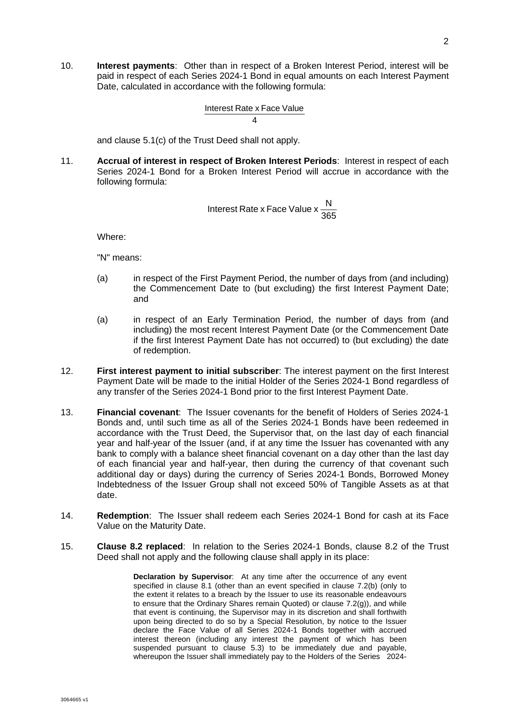10. **Interest payments**: Other than in respect of a Broken Interest Period, interest will be paid in respect of each Series 2024-1 Bond in equal amounts on each Interest Payment Date, calculated in accordance with the following formula:

Interest Rate x Face Value

4

and clause 5.1(c) of the Trust Deed shall not apply.

11. **Accrual of interest in respect of Broken Interest Periods**: Interest in respect of each Series 2024-1 Bond for a Broken Interest Period will accrue in accordance with the following formula:

Interest Rate x Face Value 
$$
x \frac{N}{365}
$$

Where:

"N" means:

- (a) in respect of the First Payment Period, the number of days from (and including) the Commencement Date to (but excluding) the first Interest Payment Date; and
- (a) in respect of an Early Termination Period, the number of days from (and including) the most recent Interest Payment Date (or the Commencement Date if the first Interest Payment Date has not occurred) to (but excluding) the date of redemption.
- 12. **First interest payment to initial subscriber**: The interest payment on the first Interest Payment Date will be made to the initial Holder of the Series 2024-1 Bond regardless of any transfer of the Series 2024-1 Bond prior to the first Interest Payment Date.
- 13. **Financial covenant**: The Issuer covenants for the benefit of Holders of Series 2024-1 Bonds and, until such time as all of the Series 2024-1 Bonds have been redeemed in accordance with the Trust Deed, the Supervisor that, on the last day of each financial year and half-year of the Issuer (and, if at any time the Issuer has covenanted with any bank to comply with a balance sheet financial covenant on a day other than the last day of each financial year and half-year, then during the currency of that covenant such additional day or days) during the currency of Series 2024-1 Bonds, Borrowed Money Indebtedness of the Issuer Group shall not exceed 50% of Tangible Assets as at that date.
- 14. **Redemption**: The Issuer shall redeem each Series 2024-1 Bond for cash at its Face Value on the Maturity Date.
- 15. **Clause 8.2 replaced**: In relation to the Series 2024-1 Bonds, clause 8.2 of the Trust Deed shall not apply and the following clause shall apply in its place:

**Declaration by Supervisor**: At any time after the occurrence of any event specified in clause 8.1 (other than an event specified in clause 7.2(b) (only to the extent it relates to a breach by the Issuer to use its reasonable endeavours to ensure that the Ordinary Shares remain Quoted) or clause 7.2(g)), and while that event is continuing, the Supervisor may in its discretion and shall forthwith upon being directed to do so by a Special Resolution, by notice to the Issuer declare the Face Value of all Series 2024-1 Bonds together with accrued interest thereon (including any interest the payment of which has been suspended pursuant to clause 5.3) to be immediately due and payable, whereupon the Issuer shall immediately pay to the Holders of the Series 2024-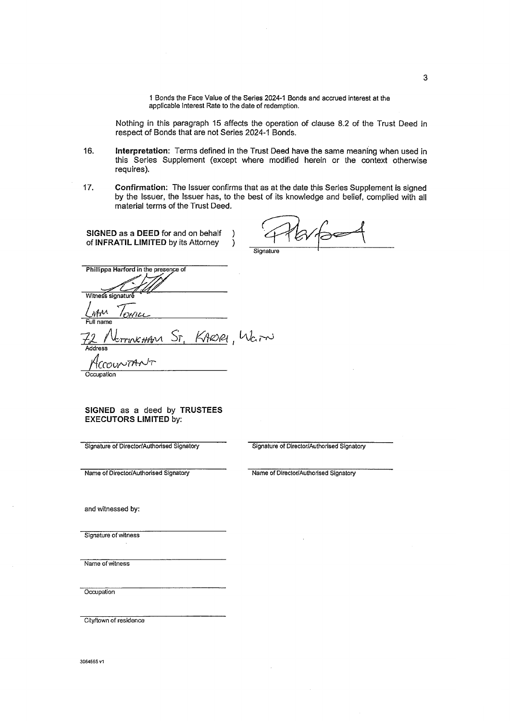1 Bonds the Face Value of the Series 2024-1 Bonds and accrued interest at the applicable Interest Rate to the date of redemption.

Nothing in this paragraph 15 affects the operation of clause 8.2 of the Trust Deed in respect of Bonds that are not Series 2024-1 Bonds.

- 16. Interpretation: Terms defined in the Trust Deed have the same meaning when used in this Series Supplement (except where modified herein or the context otherwise requires).
- $17.$ Confirmation: The Issuer confirms that as at the date this Series Supplement is signed by the Issuer, the Issuer has, to the best of its knowledge and belief, complied with all material terms of the Trust Deed.

SIGNED as a DEED for and on behalf -) of INFRATIL LIMITED by its Attorney  $\lambda$ 

| Signature |  |
|-----------|--|

Phillippa Harford in the presence of Witness signature

KARORI Warn

#### SIGNED as a deed by TRUSTEES **EXECUTORS LIMITED by:**

Signature of Director/Authorised Signatory

Signature of Director/Authorised Signatory

Name of Director/Authorised Signatory

Name of Director/Authorised Signatory

and witnessed by:

Signature of witness

Name of witness

Occupation

City/town of residence

3064665 v1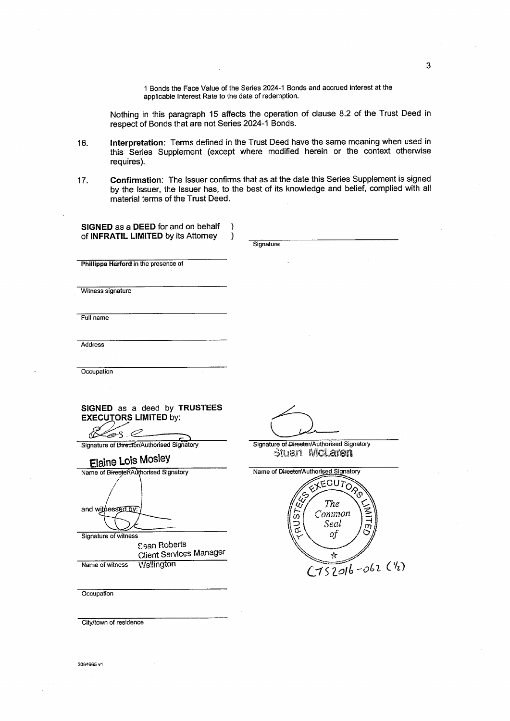1 Bonds the Face Value of the Series 2024-1 Bonds and accrued interest at the applicable Interest Rate to the date of redemption.

Nothing in this paragraph 15 affects the operation of clause 8.2 of the Trust Deed in respect of Bonds that are not Series 2024-1 Bonds.

Interpretation: Terms defined in the Trust Deed have the same meaning when used in 16. this Series Supplement (except where modified herein or the context otherwise requires).

Confirmation: The Issuer confirms that as at the date this Series Supplement is signed  $17.$ by the Issuer, the Issuer has, to the best of its knowledge and belief, complied with all material terms of the Trust Deed.

| SIGNED as a DEED for and on behalf<br>of INFRATIL LIMITED by its Attorney | $\lambda$<br>1 |                                            |
|---------------------------------------------------------------------------|----------------|--------------------------------------------|
|                                                                           |                | Signature                                  |
| Phillippa Harford in the presence of                                      |                |                                            |
|                                                                           |                |                                            |
| Witness signature                                                         |                |                                            |
|                                                                           |                |                                            |
| Full name                                                                 |                |                                            |
|                                                                           |                |                                            |
| <b>Address</b>                                                            |                |                                            |
|                                                                           |                |                                            |
| Occupation                                                                |                |                                            |
|                                                                           |                |                                            |
| SIGNED as a deed by TRUSTEES                                              |                |                                            |
| <b>EXECUTORS LIMITED by:</b>                                              |                |                                            |
| Zer I<br>ЛΟ                                                               |                | Signature of Director/Authorised Signatory |
| Signature of Director/Authorised Signatory                                |                | Stuart McLaren                             |
| <b>Elaine Lois Mosley</b><br>Name of Director/Authorised Signatory        |                | Name of Director/Authorised Signatory      |
|                                                                           |                | EXECUTORS                                  |
|                                                                           |                | 45                                         |
| and withessed by:                                                         |                | The<br>Ų,<br><b>MYII</b><br>Common         |
|                                                                           |                | RUST<br>Seal<br>m<br>O                     |
| Signature of witness<br><b>Sean Roberts</b>                               |                | of                                         |
| <b>Client Services Manager</b>                                            |                | ☆                                          |
| Wellington<br>Name of witness                                             |                | $C152016 - 062(1/2)$                       |
|                                                                           |                |                                            |
| Occupation                                                                |                |                                            |

City/town of residence

 $\mathbf{3}$